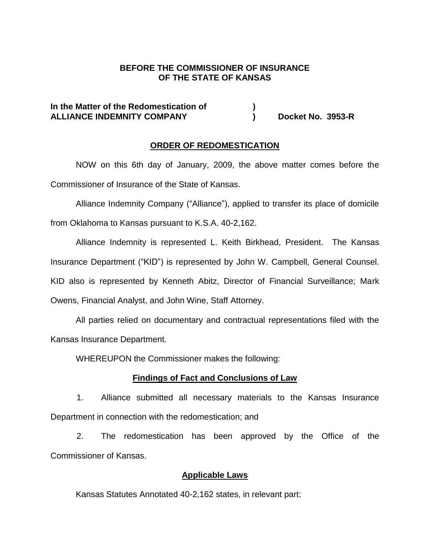## **BEFORE THE COMMISSIONER OF INSURANCE OF THE STATE OF KANSAS**

## **In the Matter of the Redomestication of ) ALLIANCE INDEMNITY COMPANY ) Docket No. 3953-R**

#### **ORDER OF REDOMESTICATION**

NOW on this 6th day of January, 2009, the above matter comes before the Commissioner of Insurance of the State of Kansas.

Alliance Indemnity Company ("Alliance"), applied to transfer its place of domicile from Oklahoma to Kansas pursuant to K.S.A. 40-2,162.

Alliance Indemnity is represented L. Keith Birkhead, President. The Kansas Insurance Department ("KID") is represented by John W. Campbell, General Counsel. KID also is represented by Kenneth Abitz, Director of Financial Surveillance; Mark Owens, Financial Analyst, and John Wine, Staff Attorney.

All parties relied on documentary and contractual representations filed with the Kansas Insurance Department.

WHEREUPON the Commissioner makes the following:

### **Findings of Fact and Conclusions of Law**

1. Alliance submitted all necessary materials to the Kansas Insurance Department in connection with the redomestication; and

2. The redomestication has been approved by the Office of the Commissioner of Kansas.

### **Applicable Laws**

Kansas Statutes Annotated 40-2,162 states, in relevant part: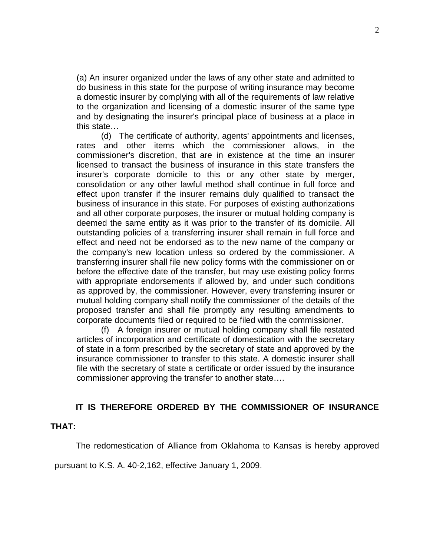(a) An insurer organized under the laws of any other state and admitted to do business in this state for the purpose of writing insurance may become a domestic insurer by complying with all of the requirements of law relative to the organization and licensing of a domestic insurer of the same type and by designating the insurer's principal place of business at a place in this state…

(d) The certificate of authority, agents' appointments and licenses, rates and other items which the commissioner allows, in the commissioner's discretion, that are in existence at the time an insurer licensed to transact the business of insurance in this state transfers the insurer's corporate domicile to this or any other state by merger, consolidation or any other lawful method shall continue in full force and effect upon transfer if the insurer remains duly qualified to transact the business of insurance in this state. For purposes of existing authorizations and all other corporate purposes, the insurer or mutual holding company is deemed the same entity as it was prior to the transfer of its domicile. All outstanding policies of a transferring insurer shall remain in full force and effect and need not be endorsed as to the new name of the company or the company's new location unless so ordered by the commissioner. A transferring insurer shall file new policy forms with the commissioner on or before the effective date of the transfer, but may use existing policy forms with appropriate endorsements if allowed by, and under such conditions as approved by, the commissioner. However, every transferring insurer or mutual holding company shall notify the commissioner of the details of the proposed transfer and shall file promptly any resulting amendments to corporate documents filed or required to be filed with the commissioner.

(f) A foreign insurer or mutual holding company shall file restated articles of incorporation and certificate of domestication with the secretary of state in a form prescribed by the secretary of state and approved by the insurance commissioner to transfer to this state. A domestic insurer shall file with the secretary of state a certificate or order issued by the insurance commissioner approving the transfer to another state….

### **IT IS THEREFORE ORDERED BY THE COMMISSIONER OF INSURANCE**

#### **THAT:**

The redomestication of Alliance from Oklahoma to Kansas is hereby approved

pursuant to K.S. A. 40-2,162, effective January 1, 2009.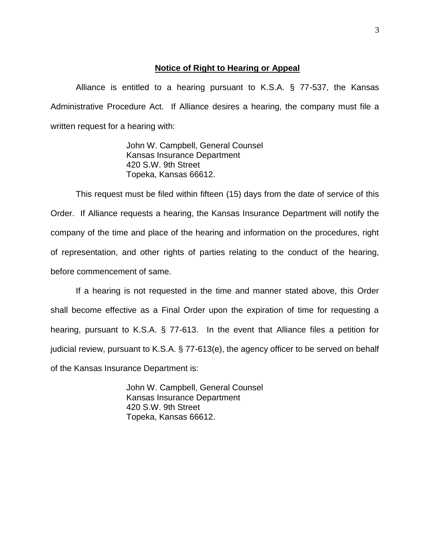#### **Notice of Right to Hearing or Appeal**

Alliance is entitled to a hearing pursuant to K.S.A. § 77-537, the Kansas Administrative Procedure Act. If Alliance desires a hearing, the company must file a written request for a hearing with:

> John W. Campbell, General Counsel Kansas Insurance Department 420 S.W. 9th Street Topeka, Kansas 66612.

This request must be filed within fifteen (15) days from the date of service of this Order. If Alliance requests a hearing, the Kansas Insurance Department will notify the company of the time and place of the hearing and information on the procedures, right of representation, and other rights of parties relating to the conduct of the hearing, before commencement of same.

If a hearing is not requested in the time and manner stated above, this Order shall become effective as a Final Order upon the expiration of time for requesting a hearing, pursuant to K.S.A. § 77-613. In the event that Alliance files a petition for judicial review, pursuant to K.S.A. § 77-613(e), the agency officer to be served on behalf of the Kansas Insurance Department is:

> John W. Campbell, General Counsel Kansas Insurance Department 420 S.W. 9th Street Topeka, Kansas 66612.